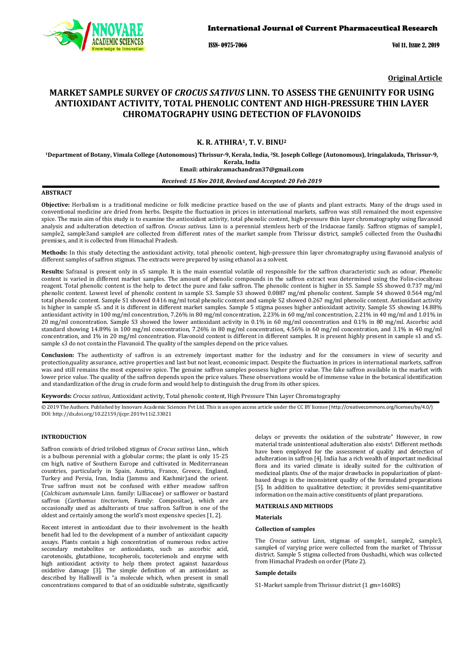

ISSN- 0975-7066 Vol 11, Issue 2, 2019

**Original Article**

# **MARKET SAMPLE SURVEY OF** *CROCUS SATIVUS* **LINN. TO ASSESS THE GENUINITY FOR USING ANTIOXIDANT ACTIVITY, TOTAL PHENOLIC CONTENT AND HIGH-PRESSURE THIN LAYER CHROMATOGRAPHY USING DETECTION OF FLAVONOIDS**

# **K. R. ATHIRA1, T. V. BINU2**

**1Department of Botany, Vimala College (Autonomous) Thrissur-9, Kerala, India, 2 St. Joseph College (Autonomous), Iringalakuda, Thrissur-9, [athirakramachandran37@gmail.com](mailto:athirakramachandran37@gmail.com) Email: Kerala, India**

# *Received: 15 Nov 2018, Revised and Accepted: 20 Feb 2019*

### **ABSTRACT**

**Objective:** Herbalism is a traditional medicine or folk medicine practice based on the use of plants and plant extracts. Many of the drugs used in conventional medicine are dried from herbs. Despite the fluctuation in prices in international markets, saffron was still remained the most expensive spice. The main aim of this study is to examine the antioxidant activity, total phenolic content, high-pressure thin layer chromatography using flavanoid analysis and adulteration detection of saffron. *Crocus sativus.* Linn is a perennial stemless herb of the Iridaceae family. Saffron stigmas of sample1, sample2, sample3and sample4 are collected from different rates of the market sample from Thrissur district, sample5 collected from the Oushadhi premises, and it is collected from Himachal Pradesh.

**Methods:** In this study detecting the antioxidant activity, total phenolic content, high-pressure thin layer chromatography using flavanoid analysis of different samples of saffron stigmas. The extracts were prepared by using ethanol as a solvent.

**Results:** Safranal is present only in s5 sample. It is the main essential volatile oil responsible for the saffron characteristic such as odour. Phenolic content is varied in different market samples. The amount of phenolic compounds in the saffron extract was determined using the Folin-ciocalteau reagent. Total phenolic content is the help to detect the pure and fake saffron. The phenolic content is higher in S5. Sample S5 showed 0.737 mg/ml phenolic content. Lowest level of phenolic content in sample S3. Sample S3 showed 0.0887 mg/ml phenolic content. Sample S4 showed 0.564 mg/ml total phenolic content. Sample S1 showed 0.416 mg/ml total phenolic content and sample S2 showed 0.267 mg/ml phenolic content. Antioxidant activity is higher in sample s5. and it is different in different market samples. Sample 5 stigma posses higher antioxidant activity. Sample S5 showing 14.88% antioxidant activity in 100 mg/ml concentration, 7.26% in 80 mg/ml concentration, 2.23% in 60 mg/ml concentration, 2.21% in 40 mg/ml and 1.01% in 20 mg/ml concentration. Sample S3 showed the lower antioxidant activity in 0.1% in 60 mg/ml concentration and 0.1% in 80 mg/ml. Ascorbic acid standard showing 14.89% in 100 mg/ml concentration, 7.26% in 80 mg/ml concentration, 4.56% in 60 mg/ml concentration, and 3.1% in 40 mg/ml concentration, and 1% in 20 mg/ml concentration. Flavonoid content is different in different samples. It is present highly present in sample s1 and s5. sample s3 do not contain the Flavanoid. The quality of the samples depend on the price values.

**Conclusion:** The authenticity of saffron is an extremely important matter for the industry and for the consumers in view of security and protection,quality assurance, active properties and last but not least, economic impact. Despite the fluctuation in prices in international markets, saffron was and still remains the most expensive spice. The genuine saffron samples possess higher price value. The fake saffron available in the market with lower price value. The quality of the saffron depends upon the price values. These observations would be of immense value in the botanical identification and standardization of the drug in crude form and would help to distinguish the drug from its other spices.

**Keywords:** *Crocus sativus*, Antioxidant activity, Total phenolic content, High Pressure Thin Layer Chromatography

© 2019 The Authors. Published by Innovare Academic Sciences Pvt Ltd. This is an open access article under the CC BY license (<http://creativecommons.org/licenses/by/4.0/>) DOI: http://dx.doi.org/10.22159/ijcpr.2019v11i2.33021

### **INTRODUCTION**

Saffron consists of dried trilobed stigmas of *Crocus sativus* Linn., which is a bulbous perennial with a globular corms; the plant is only 15-25 cm high, native of Southern Europe and cultivated in Mediterranean countries, particularly in Spain, Austria, France, Greece, England, Turkey and Persia, Iran, India (Jammu and Kashmir)and the orient. True saffron must not be confused with either meadow saffron (*Colchicum autumnale* Linn. family: Lilliaceae) or safflower or bastard saffron (*Carthamus tinctorium*, Family: Compositae), which are occasionally used as adulterants of true saffron. Saffron is one of the oldest and certainly among the world's most expensive species [1, 2].

Recent interest in antioxidant due to their involvement in the health benefit had led to the development of a number of antioxidant capacity assays. Plants contain a high concentration of numerous redox active secondary metabolites or antioxidants, such as ascorbic acid, carotenoids, glutathione, tocopherols, tocoterienols and enzyme with high antioxidant activity to help them protect against hazardous oxidative damage [3]. The simple definition of an antioxidant as described by Halliwell is "a molecule which, when present in small concentrations compared to that of an oxidizable substrate, significantly

delays or prevents the oxidation of the substrate" However, in row material trade unintentional adulteration also exists<sup>4</sup>. Different methods have been employed for the assessment of quality and detection of adulteration in saffron [4]. India has a rich wealth of important medicinal flora and its varied climate is ideally suited for the cultivation of medicinal plants. One of the major drawbacks in popularization of plantbased drugs is the inconsistent quality of the formulated preparations [5]. In addition to qualitative detection; it provides semi-quantitative information on the main active constituents of plant preparations.

### **MATERIALS AND METHODS**

### **Materials**

### **Collection of samples**

The *Crocus sativus* Linn, stigmas of sample1, sample2, sample3, sample4 of varying price were collected from the market of Thrissur district. Sample 5 stigma collected from Oushadhi, which was collected from Himachal Pradesh on order (Plate 2).

### **Sample details**

S1-Market sample from Thrissur district (1 gm=160RS)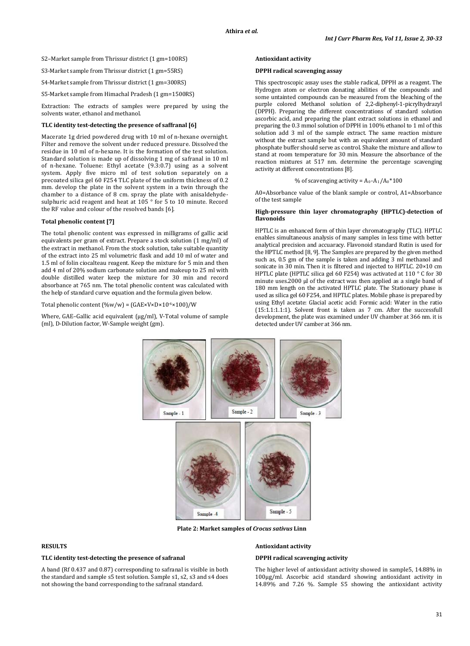S2–Market sample from Thrissur district (1 gm=100RS)

S3-Market sample from Thrissur district (1 gm=55RS)

S4-Market sample from Thrissur district (1 gm=300RS)

S5-Market sample from Himachal Pradesh (1 gm=1500RS)

Extraction: The extracts of samples were prepared by using the solvents water, ethanol and methanol.

### **TLC identity test-detecting the presence of saffranal [6]**

Macerate 1g dried powdered drug with 10 ml of n-hexane overnight. Filter and remove the solvent under reduced pressure. Dissolved the residue in 10 ml of n-hexane. It is the formation of the test solution. Standard solution is made up of dissolving 1 mg of safranal in 10 ml of n-hexane. Toluene: Ethyl acetate (9.3:0.7) using as a solvent system. Apply five micro ml of test solution separately on a precoated silica gel 60 F254 TLC plate of the uniform thickness of 0.2 mm. develop the plate in the solvent system in a twin through the chamber to a distance of 8 cm. spray the plate with anisaldehydesulphuric acid reagent and heat at 105 ° for 5 to 10 minute. Record the RF value and colour of the resolved bands [6].

### **Total phenolic content [7]**

The total phenolic content was expressed in milligrams of gallic acid equivalents per gram of extract. Prepare a stock solution (1 mg/ml) of the extract in methanol. From the stock solution, take suitable quantity of the extract into 25 ml volumetric flask and add 10 ml of water and 1.5 ml of folin ciocalteau reagent. Keep the mixture for 5 min and then add 4 ml of 20% sodium carbonate solution and makeup to 25 ml with double distilled water keep the mixture for 30 min and record absorbance at 765 nm. The total phenolic content was calculated with the help of standard curve equation and the formula given below.

Total phenolic content (%w/w) = (GAE×V×D×10-6 ×100)/W

Where, GAE–Gallic acid equivalent (µg/ml), V-Total volume of sample (ml), D-Dilution factor, W-Sample weight (gm).

### **Antioxidant activity**

### **DPPH radical scavenging assay**

This spectroscopic assay uses the stable radical, DPPH as a reagent. The Hydrogen atom or electron donating abilities of the compounds and some untainted compounds can be measured from the bleaching of the purple colored Methanol solution of 2,2-diphenyl-1-picrylhydrazyl (DPPH). Preparing the different concentrations of standard solution ascorbic acid, and preparing the plant extract solutions in ethanol and preparing the 0.3 mmol solution of DPPH in 100% ethanol to 1 ml of this solution add 3 ml of the sample extract. The same reaction mixture without the extract sample but with an equivalent amount of standard phosphate buffer should serve as control. Shake the mixture and allow to stand at room temperature for 30 min. Measure the absorbance of the reaction mixtures at 517 nm. determine the percentage scavenging activity at different concentrations [8].

## % of scavenging activity =  $A_0$ - $A_1/A_0$ \*100

A0=Absorbance value of the blank sample or control, A1=Absorbance of the test sample

### **High-pressure thin layer chromatography (HPTLC)-detection of flavonoids**

HPTLC is an enhanced form of thin layer chromatography (TLC). HPTLC enables simultaneous analysis of many samples in less time with better analytical precision and accuaracy. Flavonoid standard Rutin is used for the HPTLC method [8, 9]. The Samples are prepared by the given method such as, 0.5 gm of the sample is taken and adding 3 ml methanol and sonicate in 30 min. Then it is filtered and injected to HPTLC. 20×10 cm HPTLC plate (HPTLC silica gel 60 F254) was activated at 110 ° C for 30 minute uses.2000 µl of the extract was then applied as a single band of 180 mm length on the activated HPTLC plate. The Stationary phase is used as silica gel 60 F254, and HPTLC plates. Mobile phase is prepared by using Ethyl acetate: Glacial acetic acid: Formic acid: Water in the ratio (15:1.1:1.1:1). Solvent front is taken as 7 cm. After the successfull development, the plate was examined under UV chamber at 366 nm. it is detected under UV camber at 366 nm.



**Plate 2: Market samples of** *Crocus sativus* **Linn**

## **RESULTS**

# **TLC identity test-detecting the presence of safranal**

A band (Rf 0.437 and 0.87) corresponding to safranal is visible in both the standard and sample s5 test solution. Sample s1, s2, s3 and s4 does not showing the band corresponding to the safranal standard.

#### **Antioxidant activity**

### **DPPH radical scavenging activity**

The higher level of antioxidant activity showed in sample5, 14.88% in 100µg/ml. Ascorbic acid standard showing antioxidant activity in 14.89% and 7.26 %. Sample S5 showing the antioxidant activity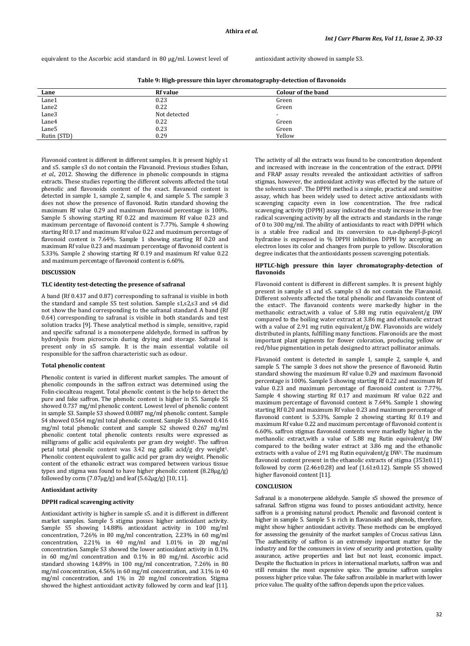equivalent to the Ascorbic acid standard in 80 µg/ml. Lowest level of antioxidant activity showed in sample S3.

**Table 9: High-pressure thin layer chromatography-detection of flavonoids**

| Lane        | <b>Rf</b> value | <b>Colour of the band</b> |
|-------------|-----------------|---------------------------|
| Lane1       | 0.23            | Green                     |
| Lane2       | 0.22            | Green                     |
| Lane3       | Not detected    | $\overline{\phantom{a}}$  |
| Lane4       | 0.22            | Green                     |
| Lane5       | 0.23            | Green                     |
| Rutin (STD) | 0.29            | Yellow                    |

Flavonoid content is different in different samples. It is present highly s1 and s5. sample s3 do not contain the Flavanoid. Previous studies Eshan, *et al.*, 2012. Showing the difference in phenolic compounds in stigma extracts. These studies reporting the different solvents affected the total phenolic and flavonoids content of the exact. flavanoid content is detected in sample 1, sample 2, sample 4, and sample 5. The sample 3 does not show the presence of flavonoid. Rutin standard showing the maximum Rf value 0.29 and maximum flavonoid percentage is 100%. Sample 5 showing starting Rf 0.22 and maximum Rf value 0.23 and maximum percentage of flavonoid content is 7.77%. Sample 4 showing starting Rf 0.17 and maximum Rf value 0.22 and maximum percentage of flavonoid content is 7.64%. Sample 1 showing starting Rf 0.20 and maximum Rf value 0.23 and maximum percentage of flavonoid content is 5.33%. Sample 2 showing starting Rf 0.19 and maximum Rf value 0.22 and maximum percentage of flavonoid content is 6.60%.

### **DISCUSSION**

### **TLC identity test-detecting the presence of safranal**

A band (Rf 0.437 and 0.87) corresponding to safranal is visible in both the standard and sample S5 test solution. Sample s1,s2,s3 and s4 did not show the band corresponding to the safranal standard. A band (Rf 0.64) corresponding to safranal is visible in both standards and test solution tracks [9]. These analytical method is simple, sensitive, rapid and specific safranal is a monoterpene aldehyde, formed in saffron by hydrolysis from picrocrocin during drying and storage. Safranal is present only in s5 sample. It is the main essential volatile oil responsible for the saffron characteristic such as odour.

### **Total phenolic content**

Phenolic content is varied in different market samples. The amount of phenolic compounds in the saffron extract was determined using the Folin-ciocalteau reagent. Total phenolic content is the help to detect the pure and fake saffron. The phenolic content is higher in S5. Sample S5 showed 0.737 mg/ml phenolic content. Lowest level of phenolic content in sample S3. Sample S3 showed 0.0887 mg/ml phenolic content. Sample S4 showed 0.564 mg/ml total phenolic content. Sample S1 showed 0.416 mg/ml total phenolic content and sample S2 showed 0.267 mg/ml phenolic content total phenolic contents results were expressed as milligrams of gallic acid equivalents per gram dry weight<sup>1</sup>. The saffron petal total phenolic content was 3.42 mg gallic acid/g dry weight<sup>1</sup>. Phenolic content equivalent to gallic acid per gram dry weight. Phenolic content of the ethanolic extract was compared between various tissue types and stigma was found to have higher phenolic content (8.28µg/g) followed by corm  $(7.07 \mu g/g)$  and leaf  $(5.62 \mu g/g)$  [10, 11].

# **Antioxidant activity**

### **DPPH radical scavenging activity**

Antioxidant activity is higher in sample s5. and it is different in different market samples. Sample 5 stigma posses higher antioxidant activity. Sample S5 showing 14.88% antioxidant activity in 100 mg/ml concentration, 7.26% in 80 mg/ml concentration, 2.23% in 60 mg/ml concentration, 2.21% in 40 mg/ml and 1.01% in 20 mg/ml concentration. Sample S3 showed the lower antioxidant activity in 0.1% in 60 mg/ml concentration and 0.1% in 80 mg/ml. Ascorbic acid standard showing 14.89% in 100 mg/ml concentration, 7.26% in 80 mg/ml concentration, 4.56% in 60 mg/ml concentration, and 3.1% in 40 mg/ml concentration, and 1% in 20 mg/ml concentration. Stigma showed the highest antioxidant activity followed by corm and leaf [11].

The activity of all the extracts was found to be concentration dependent and increased with increase in the concentration of the extract. DPPH and FRAP assay results revealed the antioxidant activities of saffron stigmas, however, the antioxidant activity was effected by the nature of the solvents used<sup>1</sup>. The DPPH method is a simple, practical and sensitive assay, which has been widely used to detect active antioxidants with scavenging capacity even in low concentration. The free radical scavenging activity (DPPH) assay indicated the study increase in the free radical scavenging activity by all the extracts and standards in the range of 0 to 300 mg/ml. The ability of antioxidants to react with DPPH which is a stable free radical and its conversion to α,α-diphenyl-β-picryl hydrazine is expressed in % DPPH inhibition. DPPH by accepting an electron loses its color and changes from purple to yellow. Discoloration degree indicates that the antioxidants possess scavenging potentials.

#### **HPTLC-high pressure thin layer chromatography-detection of flavonoids**

Flavonoid content is different in different samples. It is present highly present in sample s1 and s5. sample s3 do not contain the Flavanoid. Different solvents affected the total phenolic and flavanoids content of the extact<sup>1</sup>. The flavanoid contents were markedly higher in the important plant pigments [f](https://en.wikipedia.org/wiki/Biological_pigment)or flower coloration, producing yellow or methanolic extract,with a value of 5.88 mg rutin equivalent/g DW compared to the boiling water extract at 3.86 mg and ethanolic extract with a value of 2.91 mg rutin equivalent/g DW. Flavonoids are widely distributed in plants, fulfilling many functions. Flavonoids are the most red/blue pigmentation in petals designed to attrac[t pollinator a](https://en.wikipedia.org/wiki/Pollinator)nimals.

Flavanoid content is detected in sample 1, sample 2, sample 4, and sample 5. The sample 3 does not show the presence of flavonoid. Rutin standard showing the maximum Rf value 0.29 and maximum flavonoid percentage is 100%. Sample 5 showing starting Rf 0.22 and maximum Rf value 0.23 and maximum percentage of flavonoid content is 7.77%. Sample 4 showing starting Rf 0.17 and maximum Rf value 0.22 and maximum percentage of flavonoid content is 7.64%. Sample 1 showing starting Rf 0.20 and maximum Rf value 0.23 and maximum percentage of flavonoid content is 5.33%. Sample 2 showing starting Rf 0.19 and maximum Rf value 0.22 and maximum percentage of flavonoid content is 6.60%. saffron stigmas flavonoid contents were markedly higher in the methanolic extract,with a value of 5.88 mg Rutin equivalent/g DW compared to the boiling water extract at 3.86 mg and the ethanolic extracts with a value of 2.91 mg Rutin equivalent/g DW<sup>T</sup>. The maximum flavonoid content present in the ethanolic extracts of stigma (353±0.11) followed by corm  $(2.46\pm0.28)$  and leaf  $(1.61\pm0.12)$ . Sample S5 showed higher flavonoid content [11].

#### **CONCLUSION**

Safranal is a monoterpene aldehyde. Sample s5 showed the presence of safranal. Saffron stigma was found to posses antioxidant activity, hence saffron is a promising natural product. Phenolic and flavonoid content is higher in sample 5. Sample 5 is rich in flavanoids and phenols, therefore, might show higher antioxidant activity. These methods can be employed for assessing the genuinity of the market samples of Crocus sativus Linn. The authenticity of saffron is an extremely important matter for the industry and for the consumers in view of security and protection, quality assurance, active properties and last but not least, economic impact. Despite the fluctuation in prices in international markets, saffron was and still remains the most expensive spice. The genuine saffron samples possess higher price value. The fake saffron available in market with lower price value. The quality of the saffron depends upon the price values.